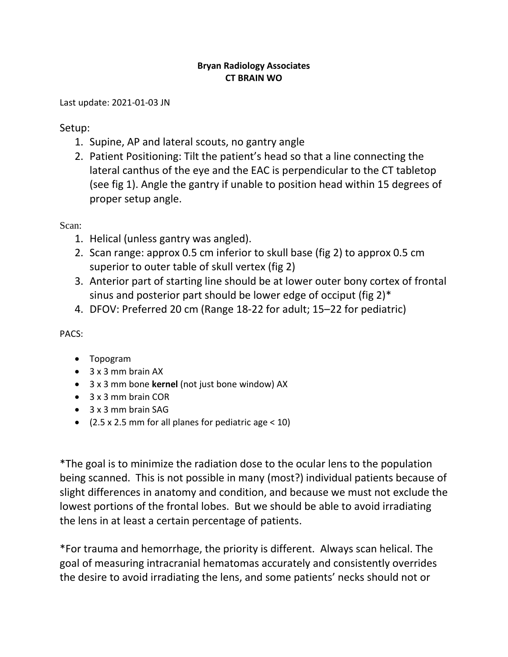## **Bryan Radiology Associates CT BRAIN WO**

Last update: 2021-01-03 JN

Setup:

- 1. Supine, AP and lateral scouts, no gantry angle
- 2. Patient Positioning: Tilt the patient's head so that a line connecting the lateral canthus of the eye and the EAC is perpendicular to the CT tabletop (see fig 1). Angle the gantry if unable to position head within 15 degrees of proper setup angle.

Scan:

- 1. Helical (unless gantry was angled).
- 2. Scan range: approx 0.5 cm inferior to skull base (fig 2) to approx 0.5 cm superior to outer table of skull vertex (fig 2)
- 3. Anterior part of starting line should be at lower outer bony cortex of frontal sinus and posterior part should be lower edge of occiput (fig 2)\*
- 4. DFOV: Preferred 20 cm (Range 18-22 for adult; 15–22 for pediatric)

PACS:

- Topogram
- $\bullet$  3 x 3 mm brain AX
- 3 x 3 mm bone **kernel** (not just bone window) AX
- 3 x 3 mm brain COR
- 3 x 3 mm brain SAG
- $(2.5 \times 2.5 \text{ mm}$  for all planes for pediatric age < 10)

\*The goal is to minimize the radiation dose to the ocular lens to the population being scanned. This is not possible in many (most?) individual patients because of slight differences in anatomy and condition, and because we must not exclude the lowest portions of the frontal lobes. But we should be able to avoid irradiating the lens in at least a certain percentage of patients.

\*For trauma and hemorrhage, the priority is different. Always scan helical. The goal of measuring intracranial hematomas accurately and consistently overrides the desire to avoid irradiating the lens, and some patients' necks should not or